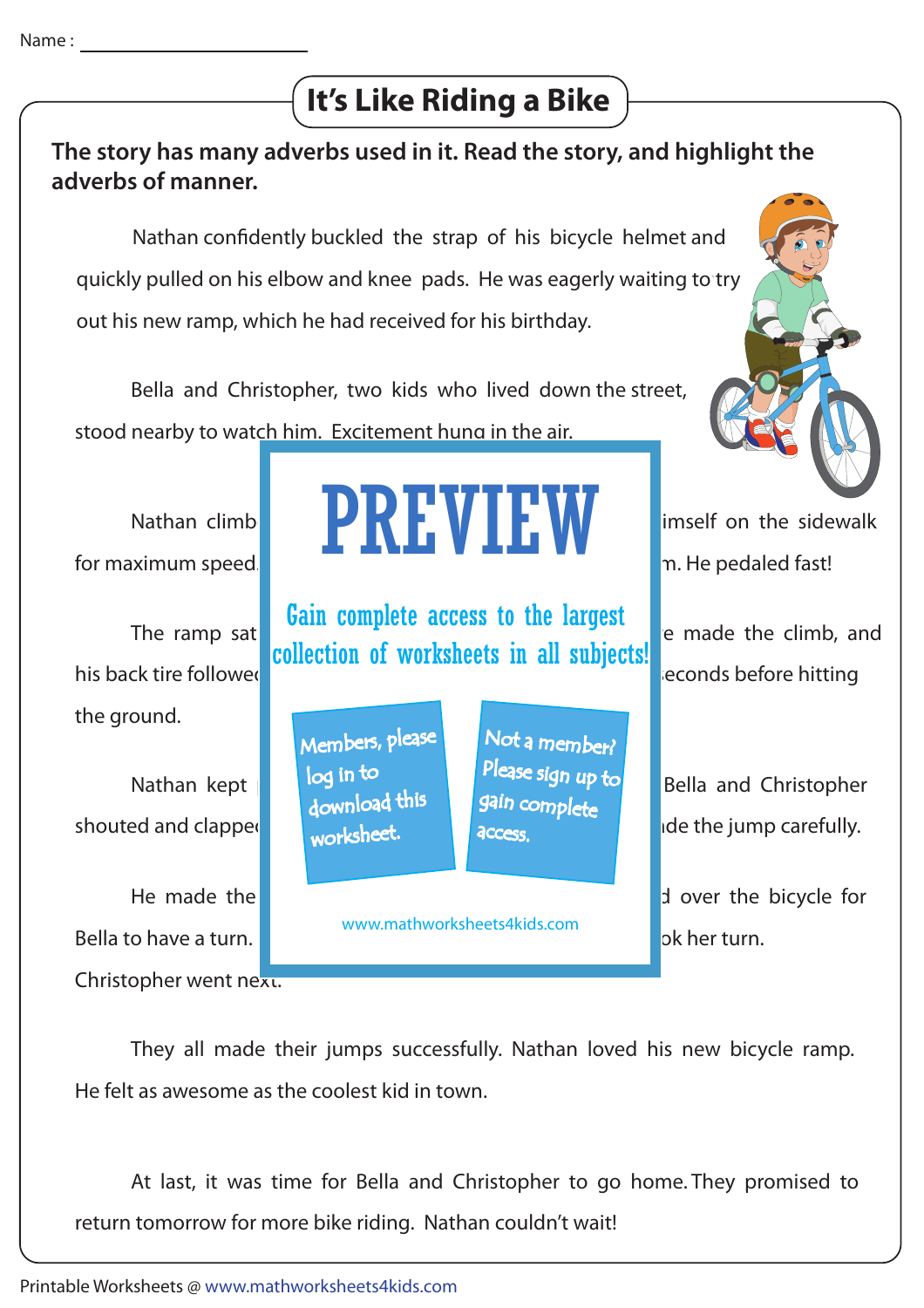## **It's Like Riding a Bike**



 They all made their jumps successfully. Nathan loved his new bicycle ramp. He felt as awesome as the coolest kid in town.

 At last, it was time for Bella and Christopher to go home. They promised to return tomorrow for more bike riding. Nathan couldn't wait!